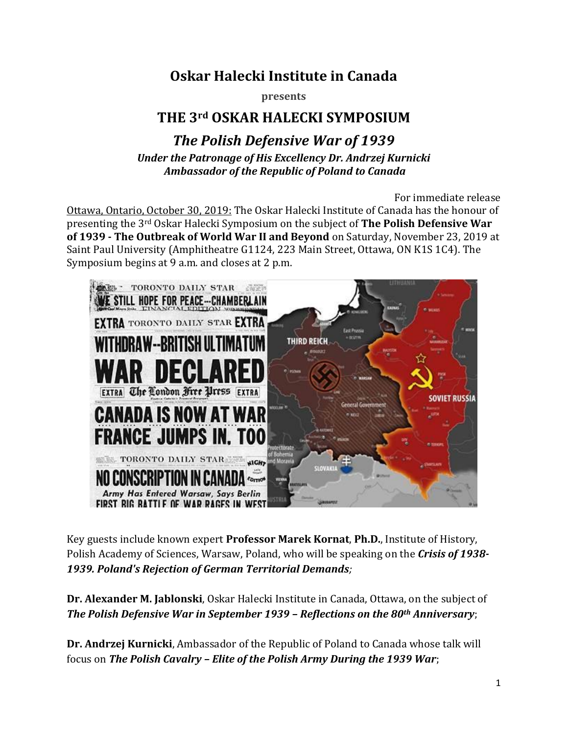# **Oskar Halecki Institute in Canada**

**presents**

## **THE 3rd OSKAR HALECKI SYMPOSIUM**

### *The Polish Defensive War of 1939 Under the Patronage of His Excellency Dr. Andrzej Kurnicki Ambassador of the Republic of Poland to Canada*

For immediate release Ottawa, Ontario, October 30, 2019: The Oskar Halecki Institute of Canada has the honour of presenting the 3rd Oskar Halecki Symposium on the subject of **The Polish Defensive War of 1939 - The Outbreak of World War II and Beyond** on Saturday, November 23, 2019 at Saint Paul University (Amphitheatre G1124, 223 Main Street, Ottawa, ON K1S 1C4). The Symposium begins at 9 a.m. and closes at 2 p.m.



Key guests include known expert **Professor Marek Kornat**, **Ph.D.**, Institute of History, Polish Academy of Sciences, Warsaw, Poland, who will be speaking on the *Crisis of 1938- 1939. Poland's Rejection of German Territorial Demands;*

**Dr. Alexander M. Jablonski**, Oskar Halecki Institute in Canada, Ottawa, on the subject of *The Polish Defensive War in September 1939 – Reflections on the 80th Anniversary*;

**Dr. Andrzej Kurnicki**, Ambassador of the Republic of Poland to Canada whose talk will focus on *The Polish Cavalry – Elite of the Polish Army During the 1939 War*;